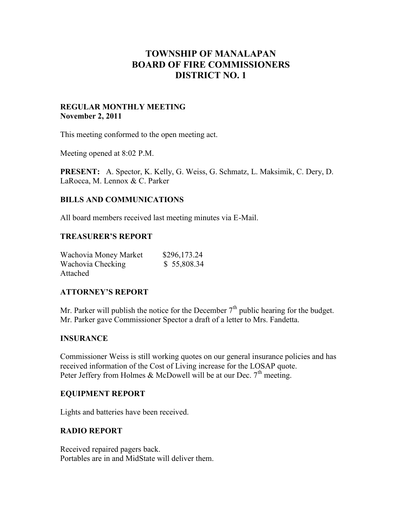# **TOWNSHIP OF MANALAPAN BOARD OF FIRE COMMISSIONERS DISTRICT NO. 1**

#### **REGULAR MONTHLY MEETING November 2, 2011**

This meeting conformed to the open meeting act.

Meeting opened at 8:02 P.M.

**PRESENT:** A. Spector, K. Kelly, G. Weiss, G. Schmatz, L. Maksimik, C. Dery, D. LaRocca, M. Lennox & C. Parker

# **BILLS AND COMMUNICATIONS**

All board members received last meeting minutes via E-Mail.

#### **TREASURER'S REPORT**

| Wachovia Money Market | \$296,173.24 |  |
|-----------------------|--------------|--|
| Wachovia Checking     | \$ 55,808.34 |  |
| Attached              |              |  |

#### **ATTORNEY'S REPORT**

Mr. Parker will publish the notice for the December  $7<sup>th</sup>$  public hearing for the budget. Mr. Parker gave Commissioner Spector a draft of a letter to Mrs. Fandetta.

#### **INSURANCE**

Commissioner Weiss is still working quotes on our general insurance policies and has received information of the Cost of Living increase for the LOSAP quote. Peter Jeffery from Holmes & McDowell will be at our Dec.  $7<sup>th</sup>$  meeting.

#### **EQUIPMENT REPORT**

Lights and batteries have been received.

#### **RADIO REPORT**

Received repaired pagers back. Portables are in and MidState will deliver them.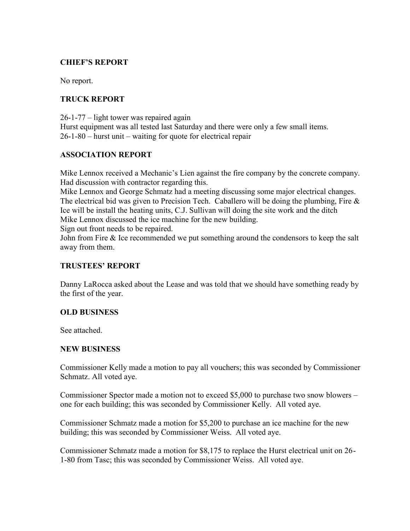# **CHIEF'S REPORT**

No report.

# **TRUCK REPORT**

26-1-77 – light tower was repaired again Hurst equipment was all tested last Saturday and there were only a few small items. 26-1-80 – hurst unit – waiting for quote for electrical repair

# **ASSOCIATION REPORT**

Mike Lennox received a Mechanic's Lien against the fire company by the concrete company. Had discussion with contractor regarding this.

Mike Lennox and George Schmatz had a meeting discussing some major electrical changes. The electrical bid was given to Precision Tech. Caballero will be doing the plumbing, Fire  $\&$ Ice will be install the heating units, C.J. Sullivan will doing the site work and the ditch Mike Lennox discussed the ice machine for the new building.

Sign out front needs to be repaired.

John from Fire & Ice recommended we put something around the condensors to keep the salt away from them.

### **TRUSTEES' REPORT**

Danny LaRocca asked about the Lease and was told that we should have something ready by the first of the year.

#### **OLD BUSINESS**

See attached.

#### **NEW BUSINESS**

Commissioner Kelly made a motion to pay all vouchers; this was seconded by Commissioner Schmatz. All voted aye.

Commissioner Spector made a motion not to exceed \$5,000 to purchase two snow blowers – one for each building; this was seconded by Commissioner Kelly. All voted aye.

Commissioner Schmatz made a motion for \$5,200 to purchase an ice machine for the new building; this was seconded by Commissioner Weiss. All voted aye.

Commissioner Schmatz made a motion for \$8,175 to replace the Hurst electrical unit on 26- 1-80 from Tasc; this was seconded by Commissioner Weiss. All voted aye.